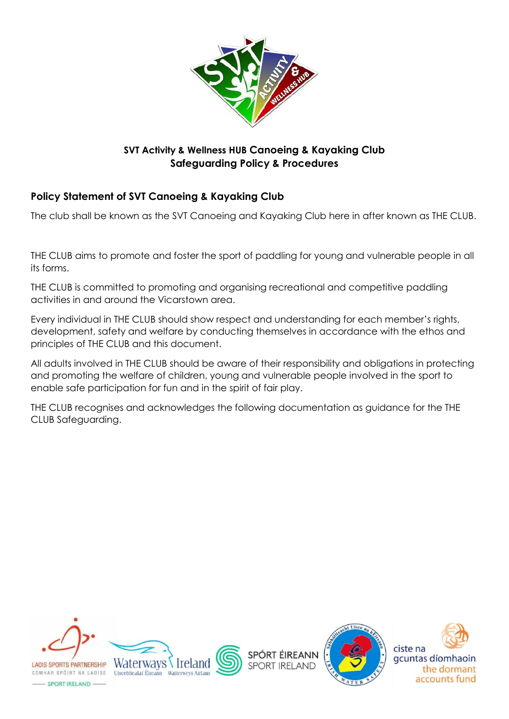

### **SVT Activity & Wellness HUB Canoeing & Kayaking Club Safeguarding Policy & Procedures**

# **Policy Statement of SVT Canoeing & Kayaking Club**

The club shall be known as the SVT Canoeing and Kayaking Club here in after known as THE CLUB.

THE CLUB aims to promote and foster the sport of paddling for young and vulnerable people in all its forms.

THE CLUB is committed to promoting and organising recreational and competitive paddling activities in and around the Vicarstown area.

Every individual in THE CLUB should show respect and understanding for each member's rights, development, safety and welfare by conducting themselves in accordance with the ethos and principles of THE CLUB and this document.

All adults involved in THE CLUB should be aware of their responsibility and obligations in protecting and promoting the welfare of children, young and vulnerable people involved in the sport to enable safe participation for fun and in the spirit of fair play.

THE CLUB recognises and acknowledges the following documentation as guidance for the THE CLUB Safeguarding.





**SPORT IRELAND** 



- SPORT IRELAND -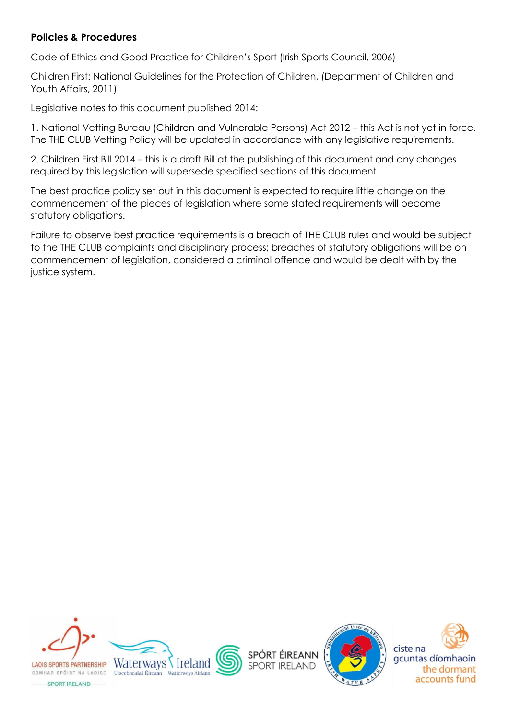#### **Policies & Procedures**

Code of Ethics and Good Practice for Children's Sport (Irish Sports Council, 2006)

Children First: National Guidelines for the Protection of Children, (Department of Children and Youth Affairs, 2011)

Legislative notes to this document published 2014:

1. National Vetting Bureau (Children and Vulnerable Persons) Act 2012 – this Act is not yet in force. The THE CLUB Vetting Policy will be updated in accordance with any legislative requirements.

2. Children First Bill 2014 – this is a draft Bill at the publishing of this document and any changes required by this legislation will supersede specified sections of this document.

The best practice policy set out in this document is expected to require little change on the commencement of the pieces of legislation where some stated requirements will become statutory obligations.

Failure to observe best practice requirements is a breach of THE CLUB rules and would be subject to the THE CLUB complaints and disciplinary process; breaches of statutory obligations will be on commencement of legislation, considered a criminal offence and would be dealt with by the justice system.





**SPORT IRELAND** 

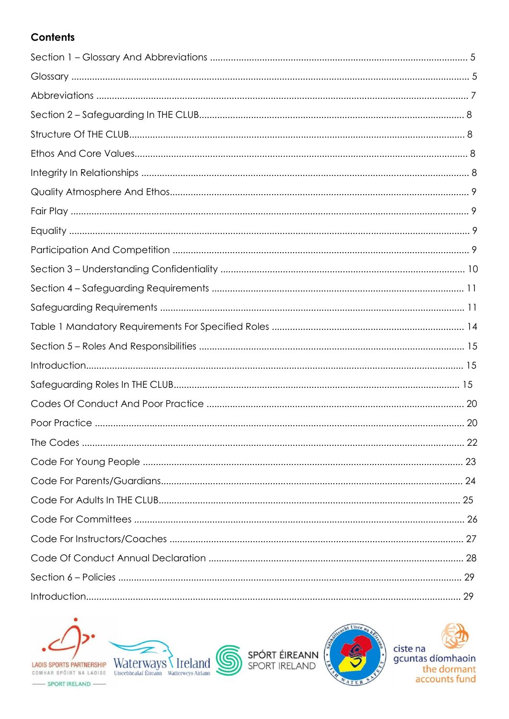# **Contents**



-SPORT IRELAND

 $\underbrace{\text{LAOIS SPORTS PARTNERSHIP}}_{\text{COMHAR SPÖIRT NAI LAOISE}}\ \text{WaterWays}\ \text{\Large\AA\ COMHAR SPÖIRT NAI LAOISE}}\ \text{Uisecbbedhedlafi Éiteann}\\ \text{Watterweys Aitham}$ 



SPÓRT ÉIREANN



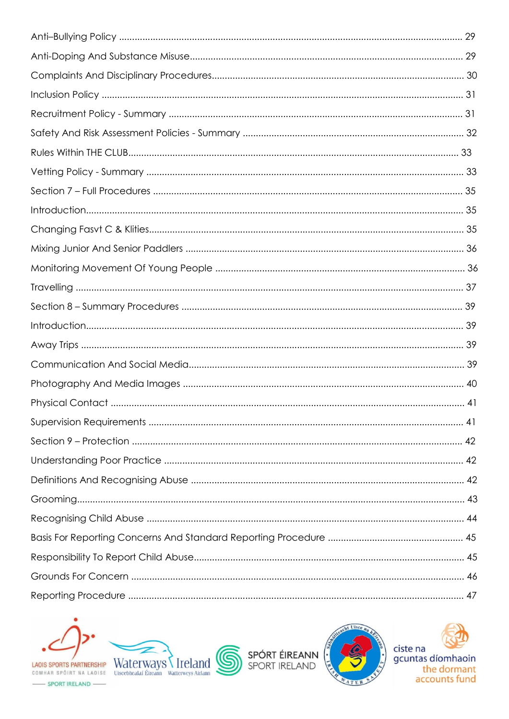



SPÓRT ÉIREANN



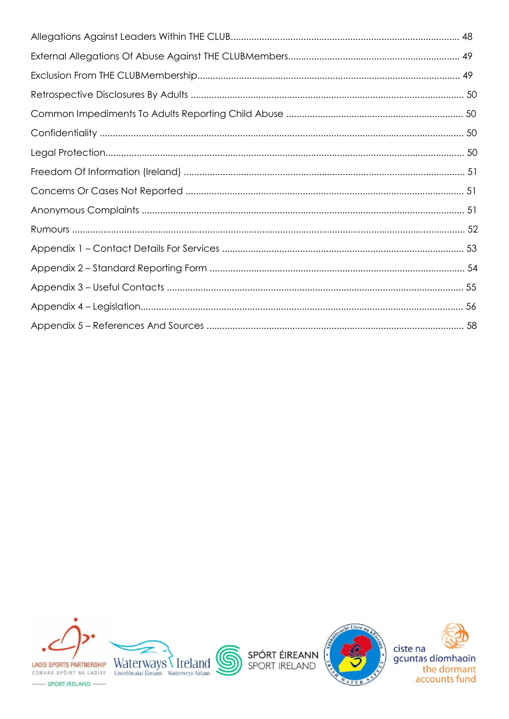





-SPORT IRELAND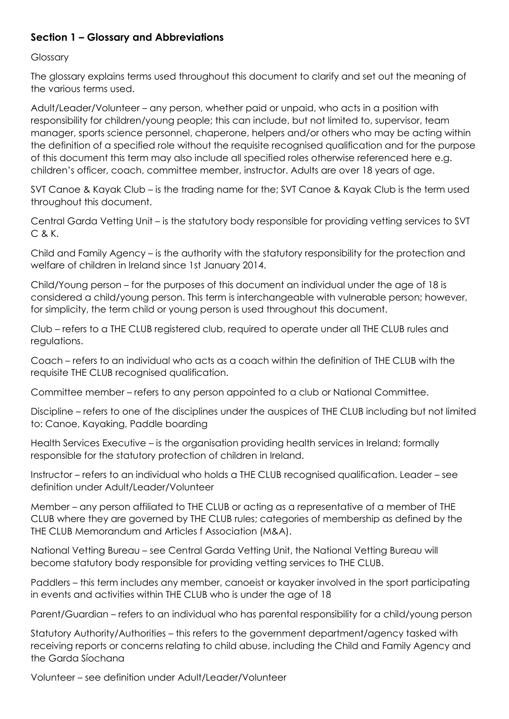#### **Section 1 – Glossary and Abbreviations**

Glossary

The glossary explains terms used throughout this document to clarify and set out the meaning of the various terms used.

Adult/Leader/Volunteer – any person, whether paid or unpaid, who acts in a position with responsibility for children/young people; this can include, but not limited to, supervisor, team manager, sports science personnel, chaperone, helpers and/or others who may be acting within the definition of a specified role without the requisite recognised qualification and for the purpose of this document this term may also include all specified roles otherwise referenced here e.g. children's officer, coach, committee member, instructor. Adults are over 18 years of age.

SVT Canoe & Kayak Club – is the trading name for the; SVT Canoe & Kayak Club is the term used throughout this document.

Central Garda Vetting Unit – is the statutory body responsible for providing vetting services to SVT C & K.

Child and Family Agency – is the authority with the statutory responsibility for the protection and welfare of children in Ireland since 1st January 2014.

Child/Young person – for the purposes of this document an individual under the age of 18 is considered a child/young person. This term is interchangeable with vulnerable person; however, for simplicity, the term child or young person is used throughout this document.

Club – refers to a THE CLUB registered club, required to operate under all THE CLUB rules and regulations.

Coach – refers to an individual who acts as a coach within the definition of THE CLUB with the requisite THE CLUB recognised qualification.

Committee member – refers to any person appointed to a club or National Committee.

Discipline – refers to one of the disciplines under the auspices of THE CLUB including but not limited to: Canoe, Kayaking, Paddle boarding

Health Services Executive – is the organisation providing health services in Ireland; formally responsible for the statutory protection of children in Ireland.

Instructor – refers to an individual who holds a THE CLUB recognised qualification. Leader – see definition under Adult/Leader/Volunteer

Member – any person affiliated to THE CLUB or acting as a representative of a member of THE CLUB where they are governed by THE CLUB rules; categories of membership as defined by the THE CLUB Memorandum and Articles f Association (M&A).

National Vetting Bureau – see Central Garda Vetting Unit, the National Vetting Bureau will become statutory body responsible for providing vetting services to THE CLUB.

Paddlers – this term includes any member, canoeist or kayaker involved in the sport participating in events and activities within THE CLUB who is under the age of 18

Parent/Guardian – refers to an individual who has parental responsibility for a child/young person

Statutory Authority/Authorities – this refers to the government department/agency tasked with receiving reports or concerns relating to child abuse, including the Child and Family Agency and the Garda Síochana

Volunteer – see definition under Adult/Leader/Volunteer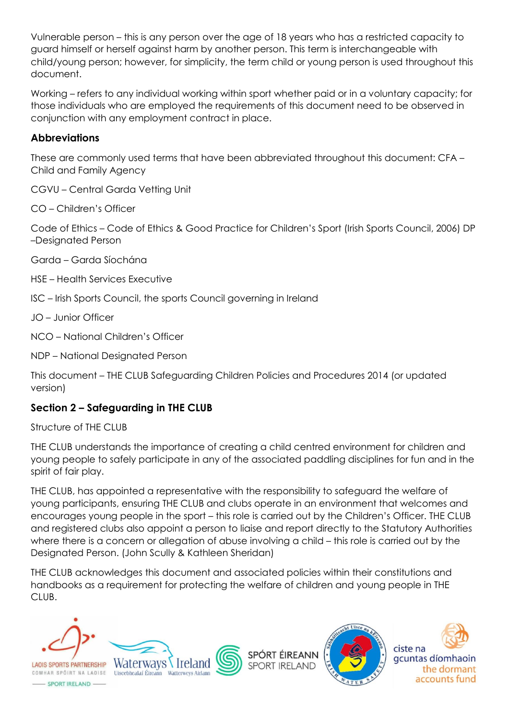Vulnerable person – this is any person over the age of 18 years who has a restricted capacity to guard himself or herself against harm by another person. This term is interchangeable with child/young person; however, for simplicity, the term child or young person is used throughout this document.

Working – refers to any individual working within sport whether paid or in a voluntary capacity; for those individuals who are employed the requirements of this document need to be observed in conjunction with any employment contract in place.

#### **Abbreviations**

These are commonly used terms that have been abbreviated throughout this document: CFA – Child and Family Agency

CGVU – Central Garda Vetting Unit

CO – Children's Officer

Code of Ethics – Code of Ethics & Good Practice for Children's Sport (Irish Sports Council, 2006) DP –Designated Person

Garda – Garda Síochána

- HSE Health Services Executive
- ISC Irish Sports Council, the sports Council governing in Ireland

JO – Junior Officer

NCO – National Children's Officer

NDP – National Designated Person

This document – THE CLUB Safeguarding Children Policies and Procedures 2014 (or updated version)

# **Section 2 – Safeguarding in THE CLUB**

Structure of THE CLUB

THE CLUB understands the importance of creating a child centred environment for children and young people to safely participate in any of the associated paddling disciplines for fun and in the spirit of fair play.

THE CLUB, has appointed a representative with the responsibility to safeguard the welfare of young participants, ensuring THE CLUB and clubs operate in an environment that welcomes and encourages young people in the sport – this role is carried out by the Children's Officer. THE CLUB and registered clubs also appoint a person to liaise and report directly to the Statutory Authorities where there is a concern or allegation of abuse involving a child – this role is carried out by the Designated Person. (John Scully & Kathleen Sheridan)

THE CLUB acknowledges this document and associated policies within their constitutions and handbooks as a requirement for protecting the welfare of children and young people in THE CLUB.



**LAOIS SPORTS PARTNERSHIP** COMHAR SPÓIRT NA LAOISE Uiscebhealaí Éireann Watterweys Airlann





SPÓRT ÉIREANN **SPORT IRELAND** 



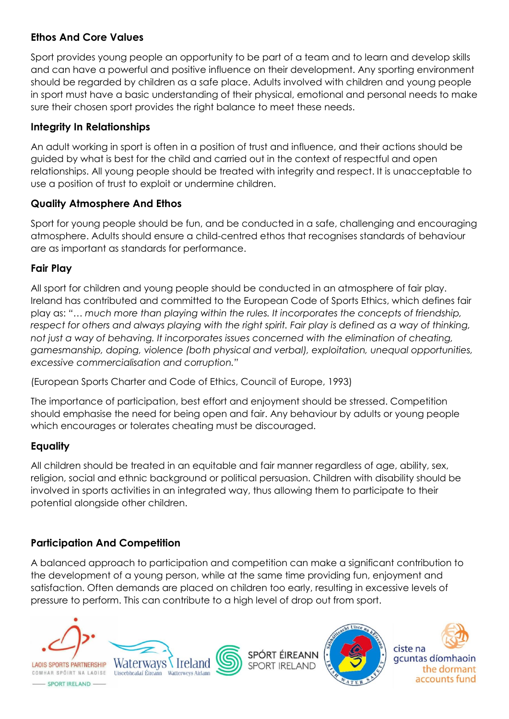### **Ethos And Core Values**

Sport provides young people an opportunity to be part of a team and to learn and develop skills and can have a powerful and positive influence on their development. Any sporting environment should be regarded by children as a safe place. Adults involved with children and young people in sport must have a basic understanding of their physical, emotional and personal needs to make sure their chosen sport provides the right balance to meet these needs.

## **Integrity In Relationships**

An adult working in sport is often in a position of trust and influence, and their actions should be guided by what is best for the child and carried out in the context of respectful and open relationships. All young people should be treated with integrity and respect. It is unacceptable to use a position of trust to exploit or undermine children.

## **Quality Atmosphere And Ethos**

Sport for young people should be fun, and be conducted in a safe, challenging and encouraging atmosphere. Adults should ensure a child-centred ethos that recognises standards of behaviour are as important as standards for performance.

## **Fair Play**

All sport for children and young people should be conducted in an atmosphere of fair play. Ireland has contributed and committed to the European Code of Sports Ethics, which defines fair play as: *"… much more than playing within the rules. It incorporates the concepts of friendship, respect for others and always playing with the right spirit. Fair play is defined as a way of thinking, not just a way of behaving. It incorporates issues concerned with the elimination of cheating, gamesmanship, doping, violence (both physical and verbal), exploitation, unequal opportunities, excessive commercialisation and corruption."*

(European Sports Charter and Code of Ethics, Council of Europe, 1993)

The importance of participation, best effort and enjoyment should be stressed. Competition should emphasise the need for being open and fair. Any behaviour by adults or young people which encourages or tolerates cheating must be discouraged.

### **Equality**

All children should be treated in an equitable and fair manner regardless of age, ability, sex, religion, social and ethnic background or political persuasion. Children with disability should be involved in sports activities in an integrated way, thus allowing them to participate to their potential alongside other children.

# **Participation And Competition**

A balanced approach to participation and competition can make a significant contribution to the development of a young person, while at the same time providing fun, enjoyment and satisfaction. Often demands are placed on children too early, resulting in excessive levels of pressure to perform. This can contribute to a high level of drop out from sport.



- SPORT IRELAND -



SPÓRT ÉIREANN **SPORT IRELAND** 





gcuntas díomhaoin the dormant accounts fund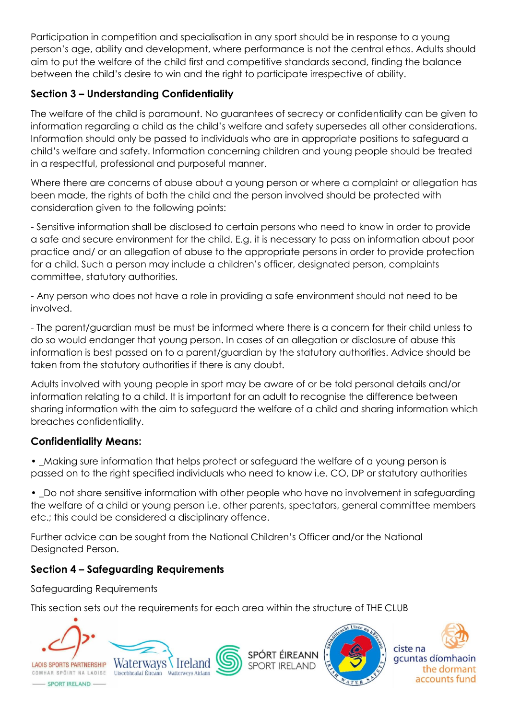Participation in competition and specialisation in any sport should be in response to a young person's age, ability and development, where performance is not the central ethos. Adults should aim to put the welfare of the child first and competitive standards second, finding the balance between the child's desire to win and the right to participate irrespective of ability.

# **Section 3 – Understanding Confidentiality**

The welfare of the child is paramount. No guarantees of secrecy or confidentiality can be given to information regarding a child as the child's welfare and safety supersedes all other considerations. Information should only be passed to individuals who are in appropriate positions to safeguard a child's welfare and safety. Information concerning children and young people should be treated in a respectful, professional and purposeful manner.

Where there are concerns of abuse about a young person or where a complaint or allegation has been made, the rights of both the child and the person involved should be protected with consideration given to the following points:

- Sensitive information shall be disclosed to certain persons who need to know in order to provide a safe and secure environment for the child. E.g. it is necessary to pass on information about poor practice and/ or an allegation of abuse to the appropriate persons in order to provide protection for a child. Such a person may include a children's officer, designated person, complaints committee, statutory authorities.

- Any person who does not have a role in providing a safe environment should not need to be involved.

- The parent/guardian must be must be informed where there is a concern for their child unless to do so would endanger that young person. In cases of an allegation or disclosure of abuse this information is best passed on to a parent/guardian by the statutory authorities. Advice should be taken from the statutory authorities if there is any doubt.

Adults involved with young people in sport may be aware of or be told personal details and/or information relating to a child. It is important for an adult to recognise the difference between sharing information with the aim to safeguard the welfare of a child and sharing information which breaches confidentiality.

### **Confidentiality Means:**

• Making sure information that helps protect or safeguard the welfare of a young person is passed on to the right specified individuals who need to know i.e. CO, DP or statutory authorities

• Do not share sensitive information with other people who have no involvement in safeguarding the welfare of a child or young person i.e. other parents, spectators, general committee members etc.; this could be considered a disciplinary offence.

Further advice can be sought from the National Children's Officer and/or the National Designated Person.

# **Section 4 – Safeguarding Requirements**

Safeguarding Requirements

This section sets out the requirements for each area within the structure of THE CLUB



**LAOIS SPORTS PARTNERSHIP** COMHAR SPÓIRT NA LAOISE Uiscebhealaí Éireann





SPÓRT ÉIREANN **SPORT IRELAND** 



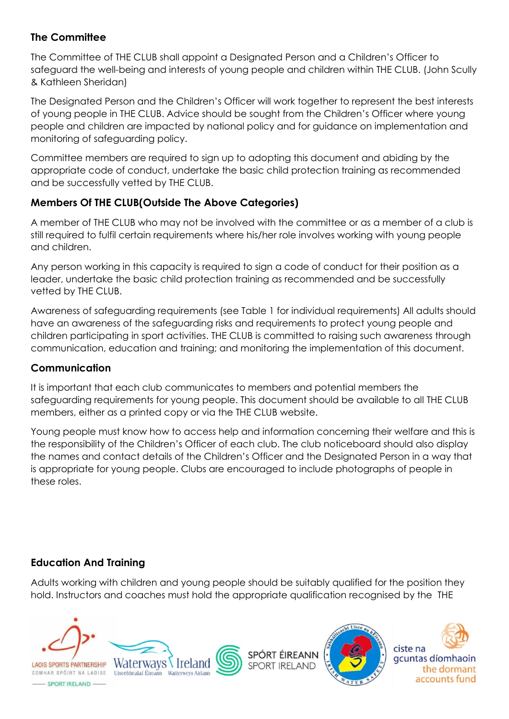### **The Committee**

The Committee of THE CLUB shall appoint a Designated Person and a Children's Officer to safeguard the well-being and interests of young people and children within THE CLUB. (John Scully & Kathleen Sheridan)

The Designated Person and the Children's Officer will work together to represent the best interests of young people in THE CLUB. Advice should be sought from the Children's Officer where young people and children are impacted by national policy and for guidance on implementation and monitoring of safeguarding policy.

Committee members are required to sign up to adopting this document and abiding by the appropriate code of conduct, undertake the basic child protection training as recommended and be successfully vetted by THE CLUB.

## **Members Of THE CLUB(Outside The Above Categories)**

A member of THE CLUB who may not be involved with the committee or as a member of a club is still required to fulfil certain requirements where his/her role involves working with young people and children.

Any person working in this capacity is required to sign a code of conduct for their position as a leader, undertake the basic child protection training as recommended and be successfully vetted by THE CLUB.

Awareness of safeguarding requirements (see Table 1 for individual requirements) All adults should have an awareness of the safeguarding risks and requirements to protect young people and children participating in sport activities. THE CLUB is committed to raising such awareness through communication, education and training; and monitoring the implementation of this document.

### **Communication**

It is important that each club communicates to members and potential members the safeguarding requirements for young people. This document should be available to all THE CLUB members, either as a printed copy or via the THE CLUB website.

Young people must know how to access help and information concerning their welfare and this is the responsibility of the Children's Officer of each club. The club noticeboard should also display the names and contact details of the Children's Officer and the Designated Person in a way that is appropriate for young people. Clubs are encouraged to include photographs of people in these roles.

### **Education And Training**

Adults working with children and young people should be suitably qualified for the position they hold. Instructors and coaches must hold the appropriate qualification recognised by the THE



**LAOIS SPORTS PARTNERSHIP** 





SPÓRT ÉIREANN **SPORT IRELAND** 



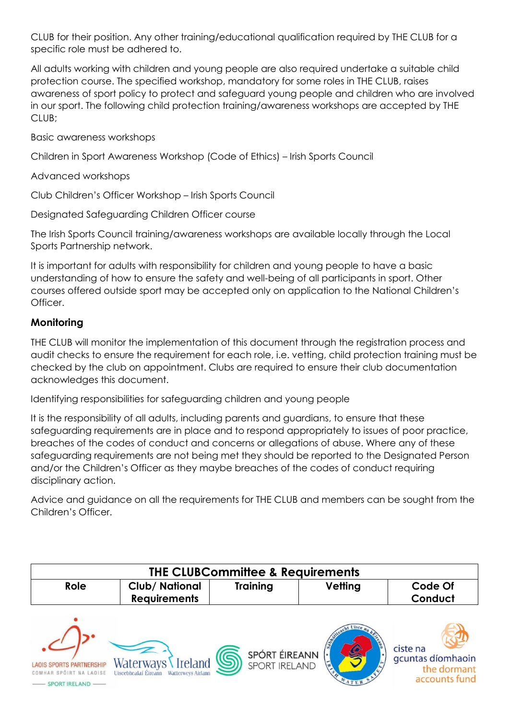CLUB for their position. Any other training/educational qualification required by THE CLUB for a specific role must be adhered to.

All adults working with children and young people are also required undertake a suitable child protection course. The specified workshop, mandatory for some roles in THE CLUB, raises awareness of sport policy to protect and safeguard young people and children who are involved in our sport. The following child protection training/awareness workshops are accepted by THE CLUB;

Basic awareness workshops

Children in Sport Awareness Workshop (Code of Ethics) – Irish Sports Council

Advanced workshops

Club Children's Officer Workshop – Irish Sports Council

Designated Safeguarding Children Officer course

The Irish Sports Council training/awareness workshops are available locally through the Local Sports Partnership network.

It is important for adults with responsibility for children and young people to have a basic understanding of how to ensure the safety and well-being of all participants in sport. Other courses offered outside sport may be accepted only on application to the National Children's Officer.

#### **Monitoring**

THE CLUB will monitor the implementation of this document through the registration process and audit checks to ensure the requirement for each role, i.e. vetting, child protection training must be checked by the club on appointment. Clubs are required to ensure their club documentation acknowledges this document.

Identifying responsibilities for safeguarding children and young people

It is the responsibility of all adults, including parents and guardians, to ensure that these safeguarding requirements are in place and to respond appropriately to issues of poor practice, breaches of the codes of conduct and concerns or allegations of abuse. Where any of these safeguarding requirements are not being met they should be reported to the Designated Person and/or the Children's Officer as they maybe breaches of the codes of conduct requiring disciplinary action.

Advice and guidance on all the requirements for THE CLUB and members can be sought from the Children's Officer.

| <b>THE CLUBCommittee &amp; Requirements</b>                                  |                                                                        |                                |         |                                                               |  |  |
|------------------------------------------------------------------------------|------------------------------------------------------------------------|--------------------------------|---------|---------------------------------------------------------------|--|--|
| Role                                                                         | Club/ National<br><b>Requirements</b>                                  | <b>Training</b>                | Vetting | Code Of<br>Conduct                                            |  |  |
| <b>LAOIS SPORTS PARTNERSHIP</b><br>COMHAR SPÓIRT NA LAOISE<br>PORT IRELAND — | Waterways Ireland<br>Uiscebhealaí Éireann<br><b>Watterweys Airlann</b> | SPÓRT ÉIREANN<br>SPORT IRELAND | Samueav | ciste na<br>gcuntas díomhaoin<br>the dormant<br>accounts fund |  |  |